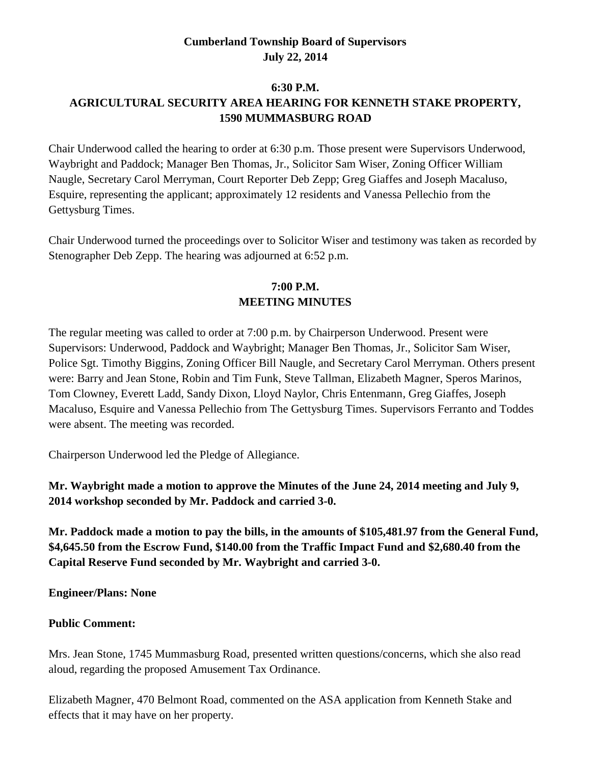### **Cumberland Township Board of Supervisors July 22, 2014**

#### **6:30 P.M.**

# **AGRICULTURAL SECURITY AREA HEARING FOR KENNETH STAKE PROPERTY, 1590 MUMMASBURG ROAD**

Chair Underwood called the hearing to order at 6:30 p.m. Those present were Supervisors Underwood, Waybright and Paddock; Manager Ben Thomas, Jr., Solicitor Sam Wiser, Zoning Officer William Naugle, Secretary Carol Merryman, Court Reporter Deb Zepp; Greg Giaffes and Joseph Macaluso, Esquire, representing the applicant; approximately 12 residents and Vanessa Pellechio from the Gettysburg Times.

Chair Underwood turned the proceedings over to Solicitor Wiser and testimony was taken as recorded by Stenographer Deb Zepp. The hearing was adjourned at 6:52 p.m.

### **7:00 P.M. MEETING MINUTES**

The regular meeting was called to order at 7:00 p.m. by Chairperson Underwood. Present were Supervisors: Underwood, Paddock and Waybright; Manager Ben Thomas, Jr., Solicitor Sam Wiser, Police Sgt. Timothy Biggins, Zoning Officer Bill Naugle, and Secretary Carol Merryman. Others present were: Barry and Jean Stone, Robin and Tim Funk, Steve Tallman, Elizabeth Magner, Speros Marinos, Tom Clowney, Everett Ladd, Sandy Dixon, Lloyd Naylor, Chris Entenmann, Greg Giaffes, Joseph Macaluso, Esquire and Vanessa Pellechio from The Gettysburg Times. Supervisors Ferranto and Toddes were absent. The meeting was recorded.

Chairperson Underwood led the Pledge of Allegiance.

## **Mr. Waybright made a motion to approve the Minutes of the June 24, 2014 meeting and July 9, 2014 workshop seconded by Mr. Paddock and carried 3-0.**

**Mr. Paddock made a motion to pay the bills, in the amounts of \$105,481.97 from the General Fund, \$4,645.50 from the Escrow Fund, \$140.00 from the Traffic Impact Fund and \$2,680.40 from the Capital Reserve Fund seconded by Mr. Waybright and carried 3-0.**

**Engineer/Plans: None**

#### **Public Comment:**

Mrs. Jean Stone, 1745 Mummasburg Road, presented written questions/concerns, which she also read aloud, regarding the proposed Amusement Tax Ordinance.

Elizabeth Magner, 470 Belmont Road, commented on the ASA application from Kenneth Stake and effects that it may have on her property.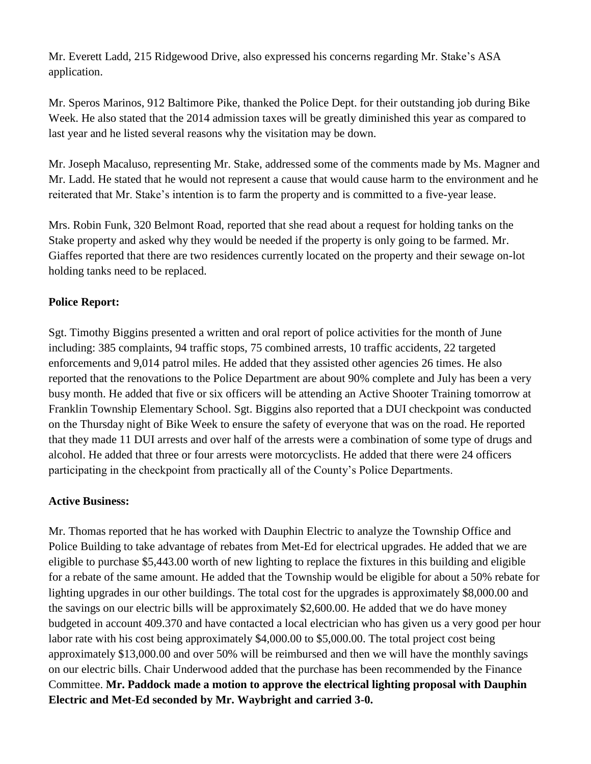Mr. Everett Ladd, 215 Ridgewood Drive, also expressed his concerns regarding Mr. Stake's ASA application.

Mr. Speros Marinos, 912 Baltimore Pike, thanked the Police Dept. for their outstanding job during Bike Week. He also stated that the 2014 admission taxes will be greatly diminished this year as compared to last year and he listed several reasons why the visitation may be down.

Mr. Joseph Macaluso, representing Mr. Stake, addressed some of the comments made by Ms. Magner and Mr. Ladd. He stated that he would not represent a cause that would cause harm to the environment and he reiterated that Mr. Stake's intention is to farm the property and is committed to a five-year lease.

Mrs. Robin Funk, 320 Belmont Road, reported that she read about a request for holding tanks on the Stake property and asked why they would be needed if the property is only going to be farmed. Mr. Giaffes reported that there are two residences currently located on the property and their sewage on-lot holding tanks need to be replaced.

### **Police Report:**

Sgt. Timothy Biggins presented a written and oral report of police activities for the month of June including: 385 complaints, 94 traffic stops, 75 combined arrests, 10 traffic accidents, 22 targeted enforcements and 9,014 patrol miles. He added that they assisted other agencies 26 times. He also reported that the renovations to the Police Department are about 90% complete and July has been a very busy month. He added that five or six officers will be attending an Active Shooter Training tomorrow at Franklin Township Elementary School. Sgt. Biggins also reported that a DUI checkpoint was conducted on the Thursday night of Bike Week to ensure the safety of everyone that was on the road. He reported that they made 11 DUI arrests and over half of the arrests were a combination of some type of drugs and alcohol. He added that three or four arrests were motorcyclists. He added that there were 24 officers participating in the checkpoint from practically all of the County's Police Departments.

#### **Active Business:**

Mr. Thomas reported that he has worked with Dauphin Electric to analyze the Township Office and Police Building to take advantage of rebates from Met-Ed for electrical upgrades. He added that we are eligible to purchase \$5,443.00 worth of new lighting to replace the fixtures in this building and eligible for a rebate of the same amount. He added that the Township would be eligible for about a 50% rebate for lighting upgrades in our other buildings. The total cost for the upgrades is approximately \$8,000.00 and the savings on our electric bills will be approximately \$2,600.00. He added that we do have money budgeted in account 409.370 and have contacted a local electrician who has given us a very good per hour labor rate with his cost being approximately \$4,000.00 to \$5,000.00. The total project cost being approximately \$13,000.00 and over 50% will be reimbursed and then we will have the monthly savings on our electric bills. Chair Underwood added that the purchase has been recommended by the Finance Committee. **Mr. Paddock made a motion to approve the electrical lighting proposal with Dauphin Electric and Met-Ed seconded by Mr. Waybright and carried 3-0.**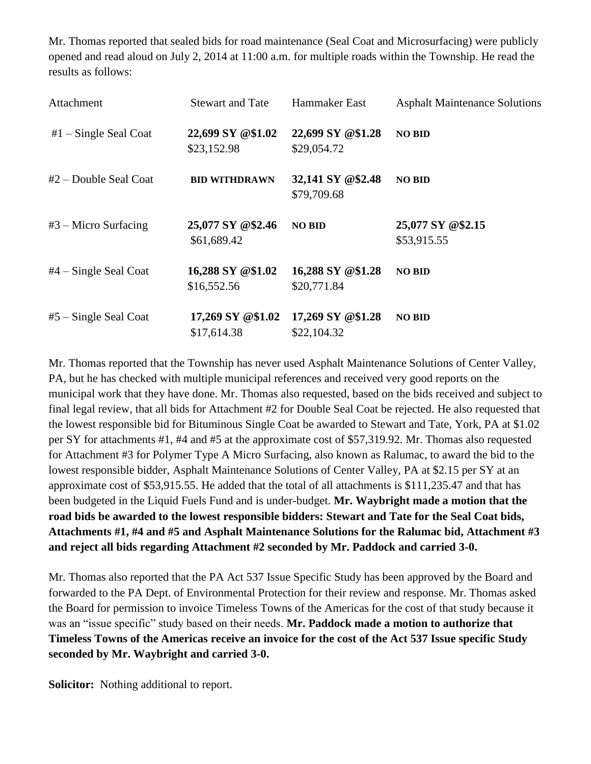Mr. Thomas reported that sealed bids for road maintenance (Seal Coat and Microsurfacing) were publicly opened and read aloud on July 2, 2014 at 11:00 a.m. for multiple roads within the Township. He read the results as follows:

| Attachment              | <b>Stewart and Tate</b>          | Hammaker East                    | <b>Asphalt Maintenance Solutions</b> |
|-------------------------|----------------------------------|----------------------------------|--------------------------------------|
| $#1$ – Single Seal Coat | 22,699 SY @\$1.02<br>\$23,152.98 | 22,699 SY @\$1.28<br>\$29,054.72 | <b>NO BID</b>                        |
| $#2$ – Double Seal Coat | <b>BID WITHDRAWN</b>             | 32,141 SY @\$2.48<br>\$79,709.68 | <b>NO BID</b>                        |
| $#3$ – Micro Surfacing  | 25,077 SY @\$2.46<br>\$61,689.42 | <b>NO BID</b>                    | 25,077 SY @\$2.15<br>\$53,915.55     |
| $#4$ – Single Seal Coat | 16,288 SY @\$1.02<br>\$16,552.56 | 16,288 SY @\$1.28<br>\$20,771.84 | <b>NO BID</b>                        |
| $#5$ – Single Seal Coat | 17,269 SY @\$1.02<br>\$17,614.38 | 17,269 SY @\$1.28<br>\$22,104.32 | <b>NO BID</b>                        |

Mr. Thomas reported that the Township has never used Asphalt Maintenance Solutions of Center Valley, PA, but he has checked with multiple municipal references and received very good reports on the municipal work that they have done. Mr. Thomas also requested, based on the bids received and subject to final legal review, that all bids for Attachment #2 for Double Seal Coat be rejected. He also requested that the lowest responsible bid for Bituminous Single Coat be awarded to Stewart and Tate, York, PA at \$1.02 per SY for attachments #1, #4 and #5 at the approximate cost of \$57,319.92. Mr. Thomas also requested for Attachment #3 for Polymer Type A Micro Surfacing, also known as Ralumac, to award the bid to the lowest responsible bidder, Asphalt Maintenance Solutions of Center Valley, PA at \$2.15 per SY at an approximate cost of \$53,915.55. He added that the total of all attachments is \$111,235.47 and that has been budgeted in the Liquid Fuels Fund and is under-budget. **Mr. Waybright made a motion that the road bids be awarded to the lowest responsible bidders: Stewart and Tate for the Seal Coat bids, Attachments #1, #4 and #5 and Asphalt Maintenance Solutions for the Ralumac bid, Attachment #3 and reject all bids regarding Attachment #2 seconded by Mr. Paddock and carried 3-0.**

Mr. Thomas also reported that the PA Act 537 Issue Specific Study has been approved by the Board and forwarded to the PA Dept. of Environmental Protection for their review and response. Mr. Thomas asked the Board for permission to invoice Timeless Towns of the Americas for the cost of that study because it was an "issue specific" study based on their needs. **Mr. Paddock made a motion to authorize that Timeless Towns of the Americas receive an invoice for the cost of the Act 537 Issue specific Study seconded by Mr. Waybright and carried 3-0.**

**Solicitor:** Nothing additional to report.